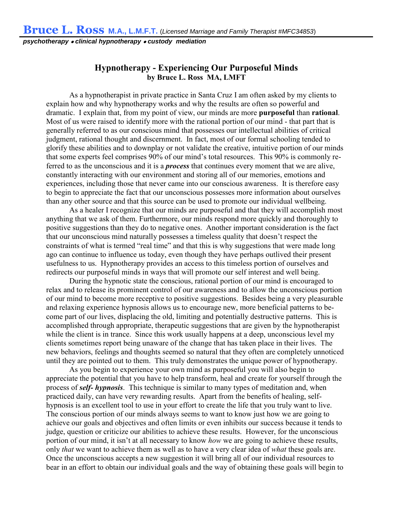*psychotherapy* • *clinical hypnotherapy* • *custody mediation*

## Hypnotherapy - Experiencing Our Purposeful Minds by Bruce L. Ross MA, LMFT

**As a hypnotherapist in private practice in Santa Cruz I am often asked by my clients to explain how and why hypnotherapy works and why the results are often so powerful and dramatic. I explain that, from my point of view, our minds are more** purposeful **than** rational**. Most of us were raised to identify more with the rational portion of our mind - that part that is generally referred to as our conscious mind that possesses our intellectual abilities of critical judgment, rational thought and discernment. In fact, most of our formal schooling tended to glorify these abilities and to downplay or not validate the creative, intuitive portion of our minds that some experts feel comprises 90% of our mind's total resources. This 90% is commonly referred to as the unconscious and it is a** *process* **that continues every moment that we are alive, constantly interacting with our environment and storing all of our memories, emotions and experiences, including those that never came into our conscious awareness. It is therefore easy to begin to appreciate the fact that our unconscious possesses more information about ourselves than any other source and that this source can be used to promote our individual wellbeing.**

**As a healer I recognize that our minds are purposeful and that they will accomplish most anything that we ask of them. Furthermore, our minds respond more quickly and thoroughly to positive suggestions than they do to negative ones. Another important consideration is the fact that our unconscious mind naturally possesses a timeless quality that doesn't respect the constraints of what is termed "real time" and that this is why suggestions that were made long ago can continue to influence us today, even though they have perhaps outlived their present usefulness to us. Hypnotherapy provides an access to this timeless portion of ourselves and redirects our purposeful minds in ways that will promote our self interest and well being.** 

**During the hypnotic state the conscious, rational portion of our mind is encouraged to relax and to release its prominent control of our awareness and to allow the unconscious portion of our mind to become more receptive to positive suggestions. Besides being a very pleasurable and relaxing experience hypnosis allows us to encourage new, more beneficial patterns to become part of our lives, displacing the old, limiting and potentially destructive patterns. This is accomplished through appropriate, therapeutic suggestions that are given by the hypnotherapist while the client is in trance. Since this work usually happens at a deep, unconscious level my clients sometimes report being unaware of the change that has taken place in their lives. The new behaviors, feelings and thoughts seemed so natural that they often are completely unnoticed until they are pointed out to them. This truly demonstrates the unique power of hypnotherapy.**

**As you begin to experience your own mind as purposeful you will also begin to appreciate the potential that you have to help transform, heal and create for yourself through the process of** *self- hypnosis***. This technique is similar to many types of meditation and, when practiced daily, can have very rewarding results. Apart from the benefits of healing, selfhypnosis is an excellent tool to use in your effort to create the life that you truly want to live. The conscious portion of our minds always seems to want to know just how we are going to achieve our goals and objectives and often limits or even inhibits our success because it tends to judge, question or criticize our abilities to achieve these results. However, for the unconscious portion of our mind, it isn't at all necessary to know** *how* **we are going to achieve these results, only** *that* **we want to achieve them as well as to have a very clear idea of** *what* **these goals are. Once the unconscious accepts a new suggestion it will bring all of our individual resources to bear in an effort to obtain our individual goals and the way of obtaining these goals will begin to**